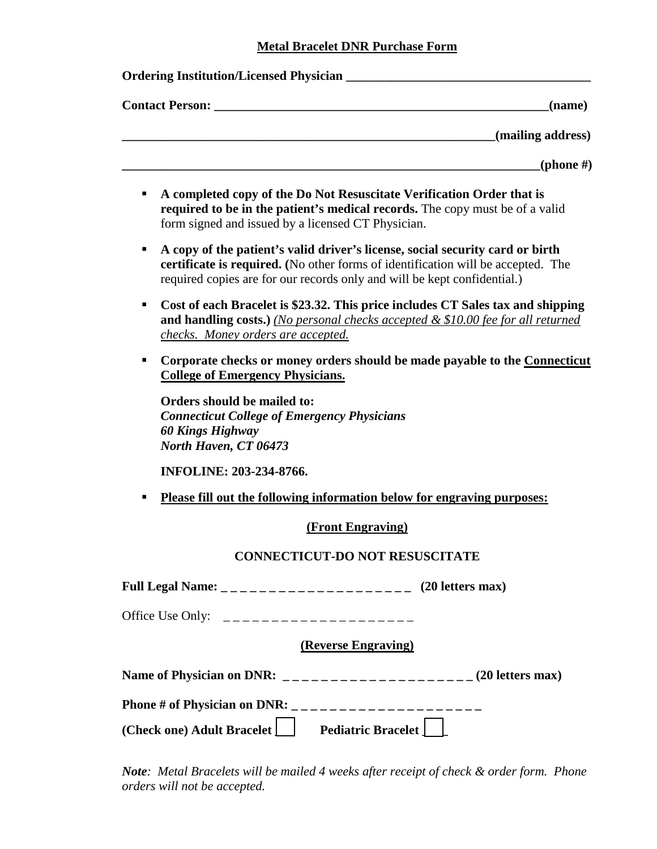## **Metal Bracelet DNR Purchase Form**

| Ordering Institution/Licensed Physician ______                                                                                                                                                                                                     |
|----------------------------------------------------------------------------------------------------------------------------------------------------------------------------------------------------------------------------------------------------|
| (name)                                                                                                                                                                                                                                             |
| (mailing address)                                                                                                                                                                                                                                  |
| (phone #)                                                                                                                                                                                                                                          |
| A completed copy of the Do Not Resuscitate Verification Order that is<br>п<br>required to be in the patient's medical records. The copy must be of a valid<br>form signed and issued by a licensed CT Physician.                                   |
| A copy of the patient's valid driver's license, social security card or birth<br>٠<br>certificate is required. (No other forms of identification will be accepted. The<br>required copies are for our records only and will be kept confidential.) |
| Cost of each Bracelet is \$23.32. This price includes CT Sales tax and shipping<br>٠<br>and handling costs.) (No personal checks accepted $& $10.00$ fee for all returned<br>checks. Money orders are accepted.                                    |
| Corporate checks or money orders should be made payable to the Connecticut<br><b>College of Emergency Physicians.</b>                                                                                                                              |
| Orders should be mailed to:<br><b>Connecticut College of Emergency Physicians</b><br><b>60 Kings Highway</b><br>North Haven, CT 06473                                                                                                              |
| <b>INFOLINE: 203-234-8766.</b>                                                                                                                                                                                                                     |
| Please fill out the following information below for engraving purposes:                                                                                                                                                                            |
| (Front Engraving)                                                                                                                                                                                                                                  |
| <b>CONNECTICUT-DO NOT RESUSCITATE</b>                                                                                                                                                                                                              |
|                                                                                                                                                                                                                                                    |
|                                                                                                                                                                                                                                                    |
| (Reverse Engraving)                                                                                                                                                                                                                                |
|                                                                                                                                                                                                                                                    |
|                                                                                                                                                                                                                                                    |
| (Check one) Adult Bracelet   Pediatric Bracelet                                                                                                                                                                                                    |

*Note: Metal Bracelets will be mailed 4 weeks after receipt of check & order form. Phone orders will not be accepted.*